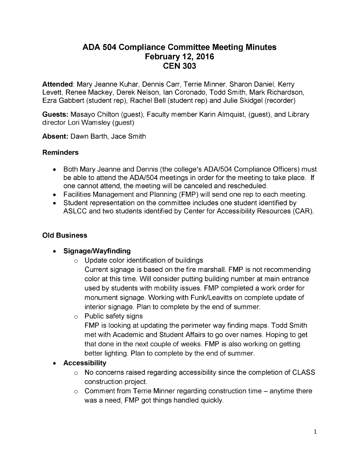# **ADA 504 Compliance Committee Meeting Minutes February 12, 2016 CEN 303**

**Attended**: Mary Jeanne Kuhar, Dennis Carr, Terrie Minner, Sharon Daniel, Kerry Levett, Renee Mackey, Derek Nelson, Ian Coronado, Todd Smith, Mark Richardson, Ezra Gabbert (student rep), Rachel Bell (student rep) and Julie Skidgel (recorder)

**Guests:** Masayo Chilton (guest), Faculty member Karin Almquist, (guest), and Library director Lori Wamsley (guest)

**Absent:** Dawn Barth, Jace Smith

# **Reminders**

- Both Mary Jeanne and Dennis (the college's ADA/504 Compliance Officers) must be able to attend the ADA/504 meetings in order for the meeting to take place. If one cannot attend, the meeting will be canceled and rescheduled.
- Facilities Management and Planning (FMP) will send one rep to each meeting.
- Student representation on the committee includes one student identified by ASLCC and two students identified by Center for Accessibility Resources (CAR).

# **Old Business**

- **Signage/Wayfinding**
	- $\circ$  Update color identification of buildings

Current signage is based on the fire marshall. FMP is not recommending color at this time. Will consider putting building number at main entrance used by students with mobility issues. FMP completed a work order for monument signage. Working with Funk/Leavitts on complete update of interior signage. Plan to complete by the end of summer.

 $\circ$  Public safety signs

FMP is looking at updating the perimeter way finding maps. Todd Smith met with Academic and Student Affairs to go over names. Hoping to get that done in the next couple of weeks. FMP is also working on getting better lighting. Plan to complete by the end of summer.

# **Accessibility**

- $\circ$  No concerns raised regarding accessibility since the completion of CLASS construction project.
- $\circ$  Comment from Terrie Minner regarding construction time  $-$  anytime there was a need, FMP got things handled quickly.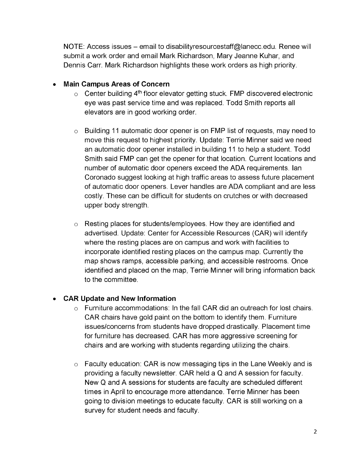NOTE: Access issues - email to [disabilityresourcestaff@lanecc.edu](mailto:disabilityresourcestaff%40lanecc.edu). Renee will submit a work order and email Mark Richardson, Mary Jeanne Kuhar, and Dennis Carr. Mark Richardson highlights these work orders as high priority.

# **Main Campus Areas of Concern**

- $\circ$  Center building 4<sup>th</sup> floor elevator getting stuck. FMP discovered electronic eye was past service time and was replaced. Todd Smith reports all elevators are in good working order.
- $\circ$  Building 11 automatic door opener is on FMP list of requests, may need to move this request to highest priority. Update: Terrie Minner said we need an automatic door opener installed in building 11 to help a student. Todd Smith said FMP can get the opener for that location. Current locations and number of automatic door openers exceed the ADA requirements. Ian Coronado suggest looking at high traffic areas to assess future placement of automatic door openers. Lever handles are ADA compliant and are less costly. These can be difficult for students on crutches or with decreased upper body strength.
- $\circ$  Resting places for students/employees. How they are identified and advertised. Update: Center for Accessible Resources (CAR) will identify where the resting places are on campus and work with facilities to incorporate identified resting places on the campus map. Currently the map shows ramps, accessible parking, and accessible restrooms. Once identified and placed on the map, Terrie Minner will bring information back to the committee.

# **CAR Update and New Information**

- Furniture accommodations: In the fall CAR did an outreach for lost chairs. CAR chairs have gold paint on the bottom to identify them. Furniture issues/concerns from students have dropped drastically. Placement time for furniture has decreased. CAR has more aggressive screening for chairs and are working with students regarding utilizing the chairs.
- $\circ$  Faculty education: CAR is now messaging tips in the Lane Weekly and is providing a faculty newsletter. CAR held a Q and A session for faculty. New Q and A sessions for students are faculty are scheduled different times in April to encourage more attendance. Terrie Minner has been going to division meetings to educate faculty. CAR is still working on a survey for student needs and faculty.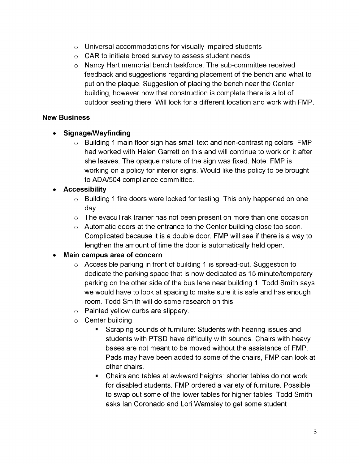- $\circ$  Universal accommodations for visually impaired students
- $\circ$  CAR to initiate broad survey to assess student needs
- Nancy Hart memorial bench taskforce: The sub-committee received feedback and suggestions regarding placement of the bench and what to put on the plaque. Suggestion of placing the bench near the Center building, however now that construction is complete there is a lot of outdoor seating there. Will look for a different location and work with FMP.

### **New Business**

# **Signage/Wayfinding**

 $\circ$  Building 1 main floor sign has small text and non-contrasting colors. FMP had worked with Helen Garrett on this and will continue to work on it after she leaves. The opaque nature of the sign was fixed. Note: FMP is working on a policy for interior signs. Would like this policy to be brought to ADA/504 compliance committee.

# **Accessibility**

- $\circ$  Building 1 fire doors were locked for testing. This only happened on one day.
- $\circ$  The evacuTrak trainer has not been present on more than one occasion
- Automatic doors at the entrance to the Center building close too soon. Complicated because it is a double door. FMP will see if there is a way to lengthen the amount of time the door is automatically held open.

# **Main campus area of concern**

- $\circ$  Accessible parking in front of building 1 is spread-out. Suggestion to dedicate the parking space that is now dedicated as 15 minute/temporary parking on the other side of the bus lane near building 1. Todd Smith says we would have to look at spacing to make sure it is safe and has enough room. Todd Smith will do some research on this.
- $\circ$  Painted yellow curbs are slippery.
- $\circ$  Center building
	- Scraping sounds of furniture: Students with hearing issues and  $\blacksquare$ students with PTSD have difficulty with sounds. Chairs with heavy bases are not meant to be moved without the assistance of FMP. Pads may have been added to some of the chairs, FMP can look at other chairs.
	- Chairs and tables at awkward heights: shorter tables do not work  $\blacksquare$ for disabled students. FMP ordered a variety of furniture. Possible to swap out some of the lower tables for higher tables. Todd Smith asks Ian Coronado and Lori Wamsley to get some student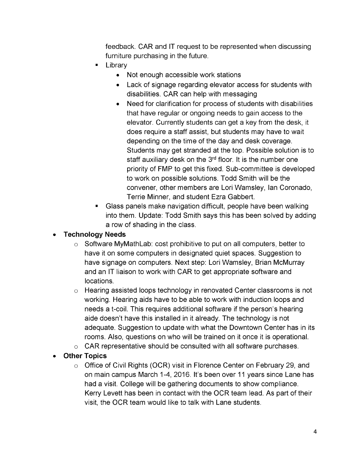feedback. CAR and IT request to be represented when discussing furniture purchasing in the future.

- Library
	- Not enough accessible work stations
	- Lack of signage regarding elevator access for students with disabilities. CAR can help with messaging
	- Need for clarification for process of students with disabilities that have regular or ongoing needs to gain access to the elevator. Currently students can get a key from the desk, it does require a staff assist, but students may have to wait depending on the time of the day and desk coverage. Students may get stranded at the top. Possible solution is to staff auxiliary desk on the 3<sup>rd</sup> floor. It is the number one priority of FMP to get this fixed. Sub-committee is developed to work on possible solutions. Todd Smith will be the convener, other members are Lori Wamsley, Ian Coronado, Terrie Minner, and student Ezra Gabbert.
- Glass panels make navigation difficult, people have been walking into them. Update: Todd Smith says this has been solved by adding a row of shading in the class.

#### **Technology Needs**  $\bullet$

- $\circ$  Software MyMathLab: cost prohibitive to put on all computers, better to have it on some computers in designated quiet spaces. Suggestion to have signage on computers. Next step: Lori Wamsley, Brian McMurray and an IT liaison to work with CAR to get appropriate software and locations.
- $\circ$  Hearing assisted loops technology in renovated Center classrooms is not working. Hearing aids have to be able to work with induction loops and needs a t-coil. This requires additional software if the person's hearing aide doesn't have this installed in it already. The technology is not adequate. Suggestion to update with what the Downtown Center has in its rooms. Also, questions on who will be trained on it once it is operational.
- $\circ$  CAR representative should be consulted with all software purchases.

# **Other Topics**

 $\circ$  Office of Civil Rights (OCR) visit in Florence Center on February 29, and on main campus March 1-4, 2016. It's been over 11 years since Lane has had a visit. College will be gathering documents to show compliance. Kerry Levett has been in contact with the OCR team lead. As part of their visit, the OCR team would like to talk with Lane students.